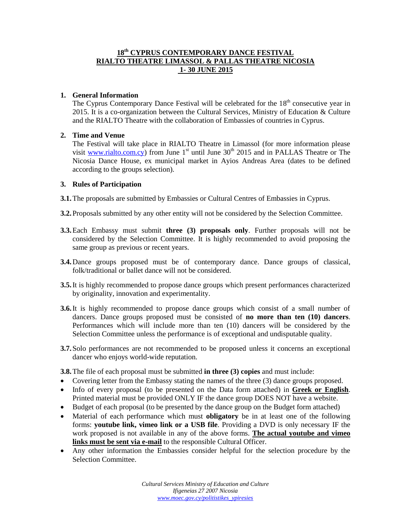## **18 th CYPRUS CONTEMPORARY DANCE FESTIVAL RIALTO THEATRE LIMASSOL & PALLAS THEATRE NICOSIA 1- 30 JUNE 2015**

#### **1. General Information**

The Cyprus Contemporary Dance Festival will be celebrated for the  $18<sup>th</sup>$  consecutive year in 2015. It is a co-organization between the Cultural Services, Ministry of Education & Culture and the RIALTO Theatre with the collaboration of Embassies of countries in Cyprus.

#### **2. Time and Venue**

The Festival will take place in RIALTO Theatre in Limassol (for more information please visit [www.rialto.com.cy\)](http://www.rialto.com.cy/) from June  $1<sup>st</sup>$  until June 30<sup>th</sup> 2015 and in PALLAS Theatre or The Nicosia Dance House, ex municipal market in Ayios Andreas Area (dates to be defined according to the groups selection).

#### **3. Rules of Participation**

- **3.1.**The proposals are submitted by Embassies or Cultural Centres of Embassies in Cyprus.
- **3.2.**Proposals submitted by any other entity will not be considered by the Selection Committee.
- **3.3.**Each Embassy must submit **three (3) proposals only**. Further proposals will not be considered by the Selection Committee. It is highly recommended to avoid proposing the same group as previous or recent years.
- **3.4.**Dance groups proposed must be of contemporary dance. Dance groups of classical, folk/traditional or ballet dance will not be considered.
- **3.5.**It is highly recommended to propose dance groups which present performances characterized by originality, innovation and experimentality.
- **3.6.**It is highly recommended to propose dance groups which consist of a small number of dancers. Dance groups proposed must be consisted of **no more than ten (10) dancers**. Performances which will include more than ten (10) dancers will be considered by the Selection Committee unless the performance is of exceptional and undisputable quality.
- **3.7.**Solo performances are not recommended to be proposed unless it concerns an exceptional dancer who enjoys world-wide reputation.

**3.8.**The file of each proposal must be submitted **in three (3) copies** and must include:

- Covering letter from the Embassy stating the names of the three (3) dance groups proposed.
- Info of every proposal (to be presented on the Data form attached) in **Greek or English**. Printed material must be provided ONLY IF the dance group DOES NOT have a website.
- Budget of each proposal (to be presented by the dance group on the Budget form attached)
- Material of each performance which must **obligatory** be in at least one of the following forms: **youtube link, vimeo link or a USB file**. Providing a DVD is only necessary IF the work proposed is not available in any of the above forms. **The actual youtube and vimeo links must be sent via e-mail** to the responsible Cultural Officer.
- Any other information the Embassies consider helpful for the selection procedure by the Selection Committee.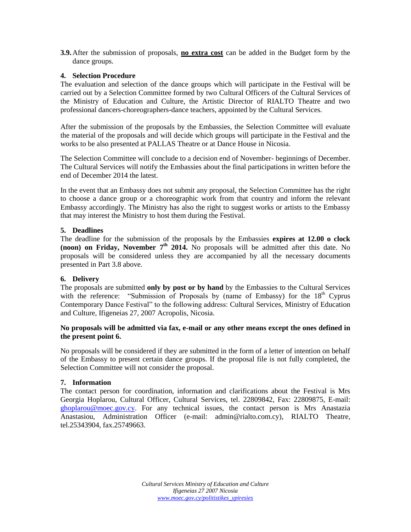**3.9.**After the submission of proposals, **no extra cost** can be added in the Budget form by the dance groups.

### **4. Selection Procedure**

The evaluation and selection of the dance groups which will participate in the Festival will be carried out by a Selection Committee formed by two Cultural Officers of the Cultural Services of the Ministry of Education and Culture, the Artistic Director of RIALTO Theatre and two professional dancers-choreographers-dance teachers, appointed by the Cultural Services.

After the submission of the proposals by the Embassies, the Selection Committee will evaluate the material of the proposals and will decide which groups will participate in the Festival and the works to be also presented at PALLAS Theatre or at Dance House in Nicosia.

The Selection Committee will conclude to a decision end of November- beginnings of December. The Cultural Services will notify the Embassies about the final participations in written before the end of December 2014 the latest.

In the event that an Embassy does not submit any proposal, the Selection Committee has the right to choose a dance group or a choreographic work from that country and inform the relevant Embassy accordingly. The Ministry has also the right to suggest works or artists to the Embassy that may interest the Ministry to host them during the Festival.

#### **5. Deadlines**

The deadline for the submission of the proposals by the Embassies **expires at 12.00 o clock (noon) on Friday, November 7 th 2014.** No proposals will be admitted after this date. No proposals will be considered unless they are accompanied by all the necessary documents presented in Part 3.8 above.

## **6. Delivery**

The proposals are submitted **only by post or by hand** by the Embassies to the Cultural Services with the reference: "Submission of Proposals by (name of Embassy) for the  $18<sup>th</sup>$  Cyprus Contemporary Dance Festival" to the following address: Cultural Services, Ministry of Education and Culture, Ifigeneias 27, 2007 Acropolis, Nicosia.

#### **No proposals will be admitted via fax, e-mail or any other means except the ones defined in the present point 6.**

No proposals will be considered if they are submitted in the form of a letter of intention on behalf of the Embassy to present certain dance groups. If the proposal file is not fully completed, the Selection Committee will not consider the proposal.

#### **7. Information**

The contact person for coordination, information and clarifications about the Festival is Mrs Georgia Hoplarou, Cultural Officer, Cultural Services, tel. 22809842, Fax: 22809875, E-mail: [ghoplarou@moec.gov.cy.](mailto:ghoplarou@moec.gov.cy) For any technical issues, the contact person is Mrs Anastazia Anastasiou, Administration Officer (e-mail: admin@rialto.com.cy), RIALTO Theatre, tel.25343904, fax.25749663.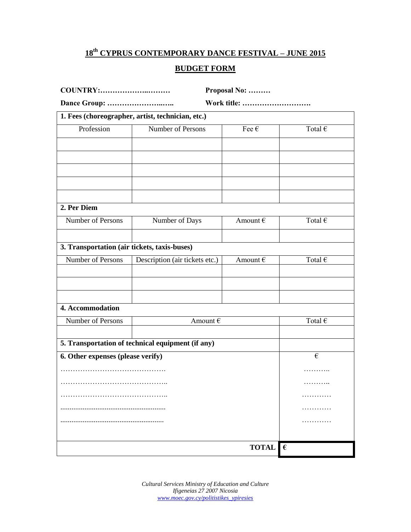## **18 th CYPRUS CONTEMPORARY DANCE FESTIVAL – JUNE 2015**

# **BUDGET FORM**

| COUNTRY:                                          |                                                   | Proposal No:            |                         |  |
|---------------------------------------------------|---------------------------------------------------|-------------------------|-------------------------|--|
|                                                   |                                                   | Work title:             |                         |  |
| 1. Fees (choreographer, artist, technician, etc.) |                                                   |                         |                         |  |
| Profession                                        | Number of Persons                                 | Fee $\in$               | Total $\in$             |  |
|                                                   |                                                   |                         |                         |  |
|                                                   |                                                   |                         |                         |  |
|                                                   |                                                   |                         |                         |  |
|                                                   |                                                   |                         |                         |  |
|                                                   |                                                   |                         |                         |  |
| 2. Per Diem                                       |                                                   |                         |                         |  |
| Number of Persons                                 | Number of Days                                    | Amount $\epsilon$       | Total $\in$             |  |
|                                                   |                                                   |                         |                         |  |
| 3. Transportation (air tickets, taxis-buses)      |                                                   |                         |                         |  |
| Number of Persons                                 | Description (air tickets etc.)                    | Amount $\epsilon$       | Total $\in$             |  |
|                                                   |                                                   |                         |                         |  |
|                                                   |                                                   |                         |                         |  |
| 4. Accommodation                                  |                                                   |                         |                         |  |
| Number of Persons                                 | Amount $\epsilon$                                 |                         | Total $\in$             |  |
|                                                   |                                                   |                         |                         |  |
|                                                   | 5. Transportation of technical equipment (if any) |                         |                         |  |
| 6. Other expenses (please verify)                 |                                                   |                         | $\boldsymbol{\epsilon}$ |  |
|                                                   | .                                                 |                         |                         |  |
|                                                   | .                                                 |                         |                         |  |
|                                                   |                                                   |                         |                         |  |
|                                                   |                                                   |                         |                         |  |
|                                                   |                                                   |                         |                         |  |
|                                                   |                                                   |                         |                         |  |
|                                                   |                                                   | <b>TOTAL</b> $\epsilon$ |                         |  |